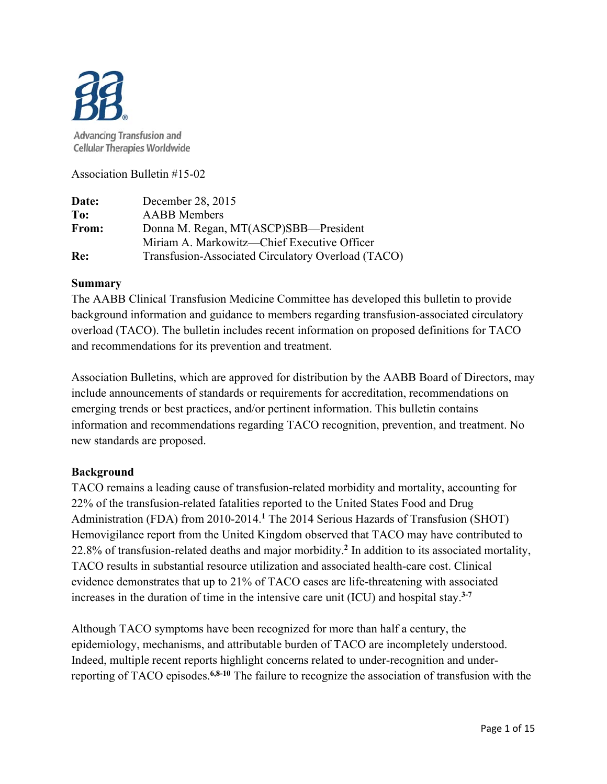

**Advancing Transfusion and Cellular Therapies Worldwide** 

Association Bulletin #15-02

| Date: | December 28, 2015                                  |
|-------|----------------------------------------------------|
| To:   | <b>AABB</b> Members                                |
| From: | Donna M. Regan, MT(ASCP)SBB—President              |
|       | Miriam A. Markowitz—Chief Executive Officer        |
| Re:   | Transfusion-Associated Circulatory Overload (TACO) |

### **Summary**

The AABB Clinical Transfusion Medicine Committee has developed this bulletin to provide background information and guidance to members regarding transfusion-associated circulatory overload (TACO). The bulletin includes recent information on proposed definitions for TACO and recommendations for its prevention and treatment.

Association Bulletins, which are approved for distribution by the AABB Board of Directors, may include announcements of standards or requirements for accreditation, recommendations on emerging trends or best practices, and/or pertinent information. This bulletin contains information and recommendations regarding TACO recognition, prevention, and treatment. No new standards are proposed.

## **Background**

TACO remains a leading cause of transfusion-related morbidity and mortality, accounting for 22% of the transfusion-related fatalities reported to the United States Food and Drug Administration (FDA) from 2010-2014.**<sup>1</sup>** The 2014 Serious Hazards of Transfusion (SHOT) Hemovigilance report from the United Kingdom observed that TACO may have contributed to 22.8% of transfusion-related deaths and major morbidity.**<sup>2</sup>** In addition to its associated mortality, TACO results in substantial resource utilization and associated health-care cost. Clinical evidence demonstrates that up to 21% of TACO cases are life-threatening with associated increases in the duration of time in the intensive care unit (ICU) and hospital stay.**3-7**

Although TACO symptoms have been recognized for more than half a century, the epidemiology, mechanisms, and attributable burden of TACO are incompletely understood. Indeed, multiple recent reports highlight concerns related to under-recognition and underreporting of TACO episodes.**6,8-10** The failure to recognize the association of transfusion with the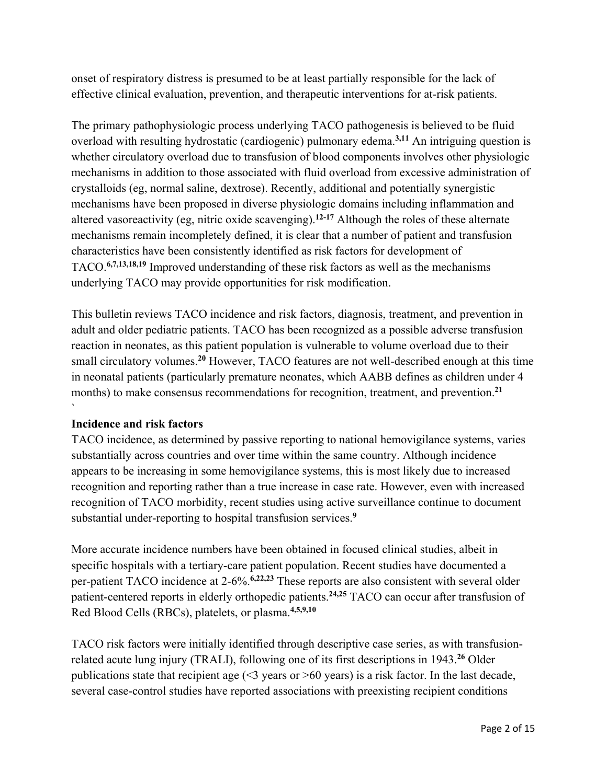onset of respiratory distress is presumed to be at least partially responsible for the lack of effective clinical evaluation, prevention, and therapeutic interventions for at-risk patients.

The primary pathophysiologic process underlying TACO pathogenesis is believed to be fluid overload with resulting hydrostatic (cardiogenic) pulmonary edema.**3,11** An intriguing question is whether circulatory overload due to transfusion of blood components involves other physiologic mechanisms in addition to those associated with fluid overload from excessive administration of crystalloids (eg, normal saline, dextrose). Recently, additional and potentially synergistic mechanisms have been proposed in diverse physiologic domains including inflammation and altered vasoreactivity (eg, nitric oxide scavenging).**12-17** Although the roles of these alternate mechanisms remain incompletely defined, it is clear that a number of patient and transfusion characteristics have been consistently identified as risk factors for development of TACO.**6,7,13,18,19** Improved understanding of these risk factors as well as the mechanisms underlying TACO may provide opportunities for risk modification.

This bulletin reviews TACO incidence and risk factors, diagnosis, treatment, and prevention in adult and older pediatric patients. TACO has been recognized as a possible adverse transfusion reaction in neonates, as this patient population is vulnerable to volume overload due to their small circulatory volumes.**<sup>20</sup>** However, TACO features are not well-described enough at this time in neonatal patients (particularly premature neonates, which AABB defines as children under 4 months) to make consensus recommendations for recognition, treatment, and prevention.**<sup>21</sup>**

## **Incidence and risk factors**

`

TACO incidence, as determined by passive reporting to national hemovigilance systems, varies substantially across countries and over time within the same country. Although incidence appears to be increasing in some hemovigilance systems, this is most likely due to increased recognition and reporting rather than a true increase in case rate. However, even with increased recognition of TACO morbidity, recent studies using active surveillance continue to document substantial under-reporting to hospital transfusion services.**<sup>9</sup>**

More accurate incidence numbers have been obtained in focused clinical studies, albeit in specific hospitals with a tertiary-care patient population. Recent studies have documented a per-patient TACO incidence at 2-6%.**6,22,23** These reports are also consistent with several older patient-centered reports in elderly orthopedic patients.**24,25** TACO can occur after transfusion of Red Blood Cells (RBCs), platelets, or plasma.**4,5,9,10**

TACO risk factors were initially identified through descriptive case series, as with transfusionrelated acute lung injury (TRALI), following one of its first descriptions in 1943.**<sup>26</sup>** Older publications state that recipient age  $($  <3 years or  $>$  60 years) is a risk factor. In the last decade, several case-control studies have reported associations with preexisting recipient conditions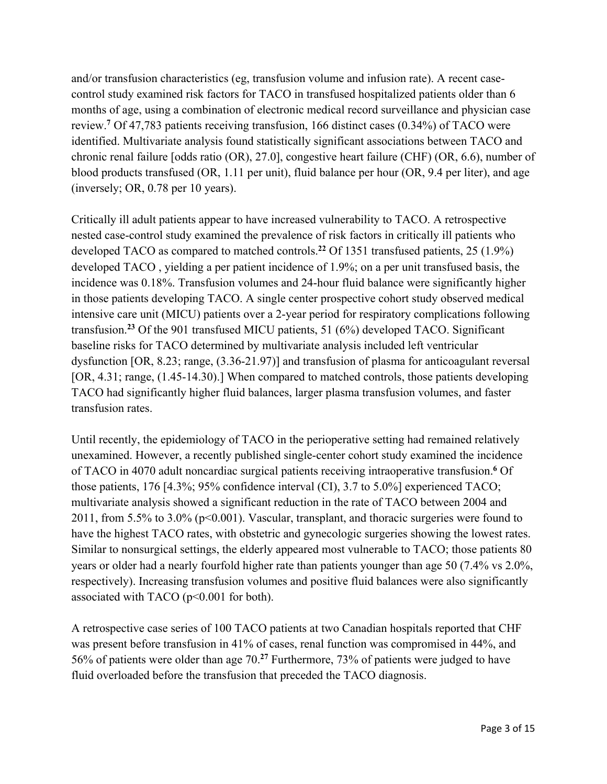and/or transfusion characteristics (eg, transfusion volume and infusion rate). A recent casecontrol study examined risk factors for TACO in transfused hospitalized patients older than 6 months of age, using a combination of electronic medical record surveillance and physician case review.**<sup>7</sup>** Of 47,783 patients receiving transfusion, 166 distinct cases (0.34%) of TACO were identified. Multivariate analysis found statistically significant associations between TACO and chronic renal failure [odds ratio (OR), 27.0], congestive heart failure (CHF) (OR, 6.6), number of blood products transfused (OR, 1.11 per unit), fluid balance per hour (OR, 9.4 per liter), and age (inversely; OR, 0.78 per 10 years).

Critically ill adult patients appear to have increased vulnerability to TACO. A retrospective nested case-control study examined the prevalence of risk factors in critically ill patients who developed TACO as compared to matched controls.**<sup>22</sup>** Of 1351 transfused patients, 25 (1.9%) developed TACO , yielding a per patient incidence of 1.9%; on a per unit transfused basis, the incidence was 0.18%. Transfusion volumes and 24-hour fluid balance were significantly higher in those patients developing TACO. A single center prospective cohort study observed medical intensive care unit (MICU) patients over a 2-year period for respiratory complications following transfusion.**<sup>23</sup>** Of the 901 transfused MICU patients, 51 (6%) developed TACO. Significant baseline risks for TACO determined by multivariate analysis included left ventricular dysfunction [OR, 8.23; range, (3.36-21.97)] and transfusion of plasma for anticoagulant reversal [OR, 4.31; range,  $(1.45-14.30)$ .] When compared to matched controls, those patients developing TACO had significantly higher fluid balances, larger plasma transfusion volumes, and faster transfusion rates.

Until recently, the epidemiology of TACO in the perioperative setting had remained relatively unexamined. However, a recently published single-center cohort study examined the incidence of TACO in 4070 adult noncardiac surgical patients receiving intraoperative transfusion.**<sup>6</sup>** Of those patients, 176 [4.3%; 95% confidence interval (CI), 3.7 to 5.0%] experienced TACO; multivariate analysis showed a significant reduction in the rate of TACO between 2004 and 2011, from 5.5% to 3.0% (p<0.001). Vascular, transplant, and thoracic surgeries were found to have the highest TACO rates, with obstetric and gynecologic surgeries showing the lowest rates. Similar to nonsurgical settings, the elderly appeared most vulnerable to TACO; those patients 80 years or older had a nearly fourfold higher rate than patients younger than age 50 (7.4% vs 2.0%, respectively). Increasing transfusion volumes and positive fluid balances were also significantly associated with TACO (p<0.001 for both).

A retrospective case series of 100 TACO patients at two Canadian hospitals reported that CHF was present before transfusion in 41% of cases, renal function was compromised in 44%, and 56% of patients were older than age 70.**<sup>27</sup>** Furthermore, 73% of patients were judged to have fluid overloaded before the transfusion that preceded the TACO diagnosis.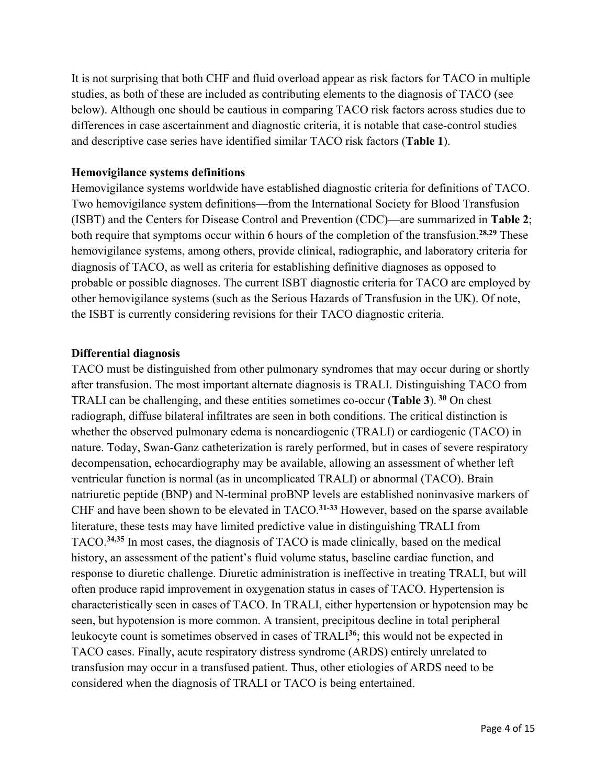It is not surprising that both CHF and fluid overload appear as risk factors for TACO in multiple studies, as both of these are included as contributing elements to the diagnosis of TACO (see below). Although one should be cautious in comparing TACO risk factors across studies due to differences in case ascertainment and diagnostic criteria, it is notable that case-control studies and descriptive case series have identified similar TACO risk factors (**Table 1**).

### **Hemovigilance systems definitions**

Hemovigilance systems worldwide have established diagnostic criteria for definitions of TACO. Two hemovigilance system definitions—from the International Society for Blood Transfusion (ISBT) and the Centers for Disease Control and Prevention (CDC)—are summarized in **Table 2**; both require that symptoms occur within 6 hours of the completion of the transfusion.**28,29** These hemovigilance systems, among others, provide clinical, radiographic, and laboratory criteria for diagnosis of TACO, as well as criteria for establishing definitive diagnoses as opposed to probable or possible diagnoses. The current ISBT diagnostic criteria for TACO are employed by other hemovigilance systems (such as the Serious Hazards of Transfusion in the UK). Of note, the ISBT is currently considering revisions for their TACO diagnostic criteria.

### **Differential diagnosis**

TACO must be distinguished from other pulmonary syndromes that may occur during or shortly after transfusion. The most important alternate diagnosis is TRALI. Distinguishing TACO from TRALI can be challenging, and these entities sometimes co-occur (**Table 3**).**<sup>30</sup>** On chest radiograph, diffuse bilateral infiltrates are seen in both conditions. The critical distinction is whether the observed pulmonary edema is noncardiogenic (TRALI) or cardiogenic (TACO) in nature. Today, Swan-Ganz catheterization is rarely performed, but in cases of severe respiratory decompensation, echocardiography may be available, allowing an assessment of whether left ventricular function is normal (as in uncomplicated TRALI) or abnormal (TACO). Brain natriuretic peptide (BNP) and N-terminal proBNP levels are established noninvasive markers of CHF and have been shown to be elevated in TACO.**31-33** However, based on the sparse available literature, these tests may have limited predictive value in distinguishing TRALI from TACO.**34,35** In most cases, the diagnosis of TACO is made clinically, based on the medical history, an assessment of the patient's fluid volume status, baseline cardiac function, and response to diuretic challenge. Diuretic administration is ineffective in treating TRALI, but will often produce rapid improvement in oxygenation status in cases of TACO. Hypertension is characteristically seen in cases of TACO. In TRALI, either hypertension or hypotension may be seen, but hypotension is more common. A transient, precipitous decline in total peripheral leukocyte count is sometimes observed in cases of TRALI**<sup>36</sup>**; this would not be expected in TACO cases. Finally, acute respiratory distress syndrome (ARDS) entirely unrelated to transfusion may occur in a transfused patient. Thus, other etiologies of ARDS need to be considered when the diagnosis of TRALI or TACO is being entertained.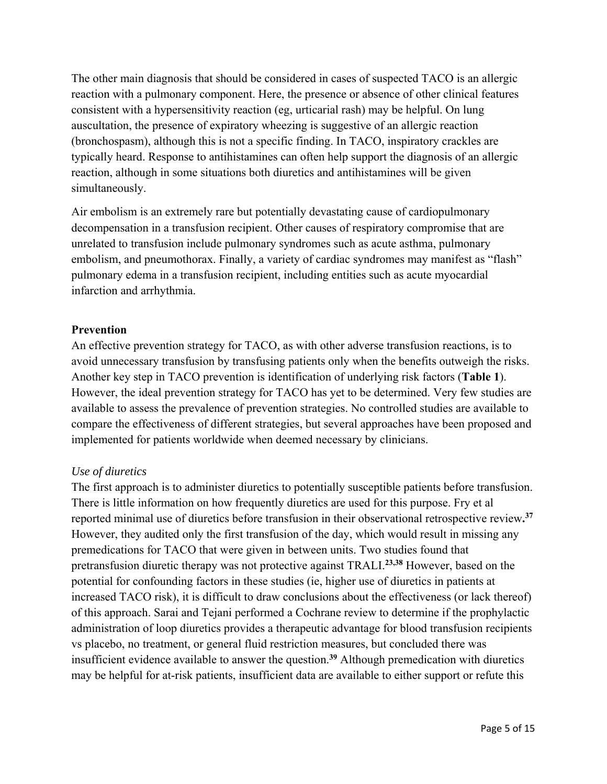The other main diagnosis that should be considered in cases of suspected TACO is an allergic reaction with a pulmonary component. Here, the presence or absence of other clinical features consistent with a hypersensitivity reaction (eg, urticarial rash) may be helpful. On lung auscultation, the presence of expiratory wheezing is suggestive of an allergic reaction (bronchospasm), although this is not a specific finding. In TACO, inspiratory crackles are typically heard. Response to antihistamines can often help support the diagnosis of an allergic reaction, although in some situations both diuretics and antihistamines will be given simultaneously.

Air embolism is an extremely rare but potentially devastating cause of cardiopulmonary decompensation in a transfusion recipient. Other causes of respiratory compromise that are unrelated to transfusion include pulmonary syndromes such as acute asthma, pulmonary embolism, and pneumothorax. Finally, a variety of cardiac syndromes may manifest as "flash" pulmonary edema in a transfusion recipient, including entities such as acute myocardial infarction and arrhythmia.

## **Prevention**

An effective prevention strategy for TACO, as with other adverse transfusion reactions, is to avoid unnecessary transfusion by transfusing patients only when the benefits outweigh the risks. Another key step in TACO prevention is identification of underlying risk factors (**Table 1**). However, the ideal prevention strategy for TACO has yet to be determined. Very few studies are available to assess the prevalence of prevention strategies. No controlled studies are available to compare the effectiveness of different strategies, but several approaches have been proposed and implemented for patients worldwide when deemed necessary by clinicians.

## *Use of diuretics*

The first approach is to administer diuretics to potentially susceptible patients before transfusion. There is little information on how frequently diuretics are used for this purpose. Fry et al reported minimal use of diuretics before transfusion in their observational retrospective review**. 37** However, they audited only the first transfusion of the day, which would result in missing any premedications for TACO that were given in between units. Two studies found that pretransfusion diuretic therapy was not protective against TRALI.**23,38** However, based on the potential for confounding factors in these studies (ie, higher use of diuretics in patients at increased TACO risk), it is difficult to draw conclusions about the effectiveness (or lack thereof) of this approach. Sarai and Tejani performed a Cochrane review to determine if the prophylactic administration of loop diuretics provides a therapeutic advantage for blood transfusion recipients vs placebo, no treatment, or general fluid restriction measures, but concluded there was insufficient evidence available to answer the question.**<sup>39</sup>** Although premedication with diuretics may be helpful for at-risk patients, insufficient data are available to either support or refute this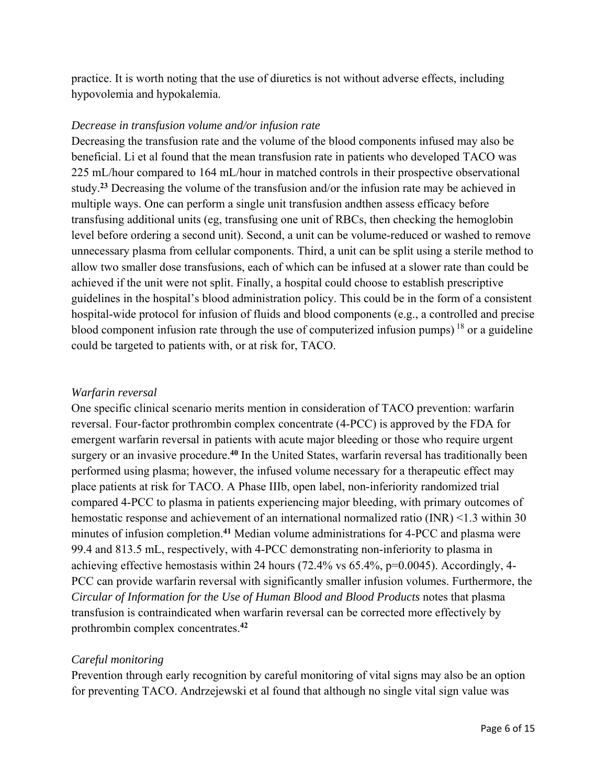practice. It is worth noting that the use of diuretics is not without adverse effects, including hypovolemia and hypokalemia.

### *Decrease in transfusion volume and/or infusion rate*

Decreasing the transfusion rate and the volume of the blood components infused may also be beneficial. Li et al found that the mean transfusion rate in patients who developed TACO was 225 mL/hour compared to 164 mL/hour in matched controls in their prospective observational study.**<sup>23</sup>** Decreasing the volume of the transfusion and/or the infusion rate may be achieved in multiple ways. One can perform a single unit transfusion andthen assess efficacy before transfusing additional units (eg, transfusing one unit of RBCs, then checking the hemoglobin level before ordering a second unit). Second, a unit can be volume-reduced or washed to remove unnecessary plasma from cellular components. Third, a unit can be split using a sterile method to allow two smaller dose transfusions, each of which can be infused at a slower rate than could be achieved if the unit were not split. Finally, a hospital could choose to establish prescriptive guidelines in the hospital's blood administration policy. This could be in the form of a consistent hospital-wide protocol for infusion of fluids and blood components (e.g., a controlled and precise blood component infusion rate through the use of computerized infusion pumps)  $^{18}$  or a guideline could be targeted to patients with, or at risk for, TACO.

#### *Warfarin reversal*

One specific clinical scenario merits mention in consideration of TACO prevention: warfarin reversal. Four-factor prothrombin complex concentrate (4-PCC) is approved by the FDA for emergent warfarin reversal in patients with acute major bleeding or those who require urgent surgery or an invasive procedure.**<sup>40</sup>** In the United States, warfarin reversal has traditionally been performed using plasma; however, the infused volume necessary for a therapeutic effect may place patients at risk for TACO. A Phase IIIb, open label, non-inferiority randomized trial compared 4-PCC to plasma in patients experiencing major bleeding, with primary outcomes of hemostatic response and achievement of an international normalized ratio (INR) <1.3 within 30 minutes of infusion completion.**<sup>41</sup>** Median volume administrations for 4-PCC and plasma were 99.4 and 813.5 mL, respectively, with 4-PCC demonstrating non-inferiority to plasma in achieving effective hemostasis within 24 hours (72.4% vs 65.4%, p=0.0045). Accordingly, 4- PCC can provide warfarin reversal with significantly smaller infusion volumes. Furthermore, the *Circular of Information for the Use of Human Blood and Blood Products* notes that plasma transfusion is contraindicated when warfarin reversal can be corrected more effectively by prothrombin complex concentrates.**<sup>42</sup>**

### *Careful monitoring*

Prevention through early recognition by careful monitoring of vital signs may also be an option for preventing TACO. Andrzejewski et al found that although no single vital sign value was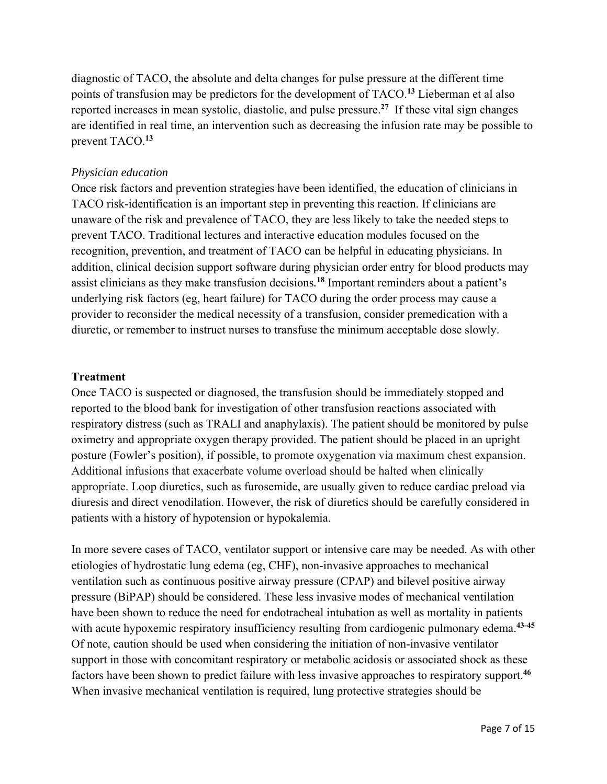diagnostic of TACO, the absolute and delta changes for pulse pressure at the different time points of transfusion may be predictors for the development of TACO.**<sup>13</sup>** Lieberman et al also reported increases in mean systolic, diastolic, and pulse pressure.**27** If these vital sign changes are identified in real time, an intervention such as decreasing the infusion rate may be possible to prevent TACO.**<sup>13</sup>**

## *Physician education*

Once risk factors and prevention strategies have been identified, the education of clinicians in TACO risk-identification is an important step in preventing this reaction. If clinicians are unaware of the risk and prevalence of TACO, they are less likely to take the needed steps to prevent TACO. Traditional lectures and interactive education modules focused on the recognition, prevention, and treatment of TACO can be helpful in educating physicians. In addition, clinical decision support software during physician order entry for blood products may assist clinicians as they make transfusion decisions*.* **<sup>18</sup>** Important reminders about a patient's underlying risk factors (eg, heart failure) for TACO during the order process may cause a provider to reconsider the medical necessity of a transfusion, consider premedication with a diuretic, or remember to instruct nurses to transfuse the minimum acceptable dose slowly.

### **Treatment**

Once TACO is suspected or diagnosed, the transfusion should be immediately stopped and reported to the blood bank for investigation of other transfusion reactions associated with respiratory distress (such as TRALI and anaphylaxis). The patient should be monitored by pulse oximetry and appropriate oxygen therapy provided. The patient should be placed in an upright posture (Fowler's position), if possible, to promote oxygenation via maximum chest expansion. Additional infusions that exacerbate volume overload should be halted when clinically appropriate. Loop diuretics, such as furosemide, are usually given to reduce cardiac preload via diuresis and direct venodilation. However, the risk of diuretics should be carefully considered in patients with a history of hypotension or hypokalemia.

In more severe cases of TACO, ventilator support or intensive care may be needed. As with other etiologies of hydrostatic lung edema (eg, CHF), non-invasive approaches to mechanical ventilation such as continuous positive airway pressure (CPAP) and bilevel positive airway pressure (BiPAP) should be considered. These less invasive modes of mechanical ventilation have been shown to reduce the need for endotracheal intubation as well as mortality in patients with acute hypoxemic respiratory insufficiency resulting from cardiogenic pulmonary edema.<sup>43-45</sup> Of note, caution should be used when considering the initiation of non-invasive ventilator support in those with concomitant respiratory or metabolic acidosis or associated shock as these factors have been shown to predict failure with less invasive approaches to respiratory support.**<sup>46</sup>** When invasive mechanical ventilation is required, lung protective strategies should be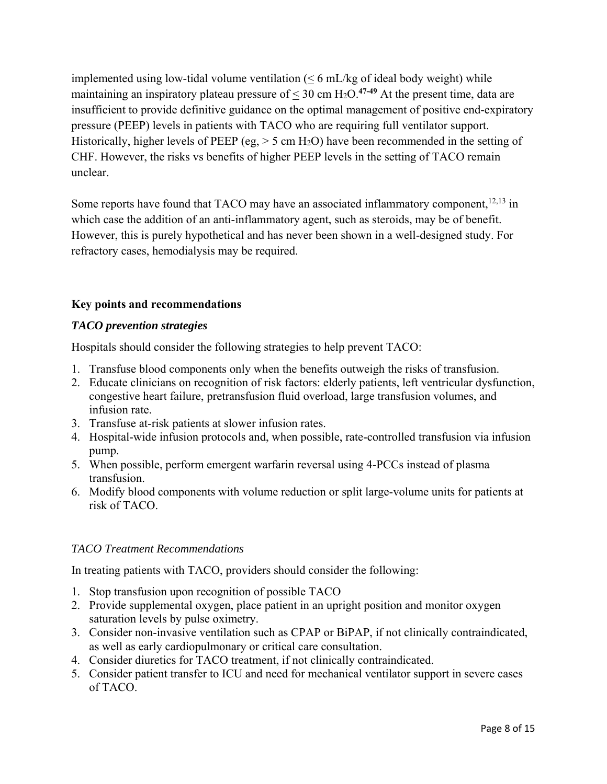implemented using low-tidal volume ventilation  $( \leq 6 \text{ mL/kg of ideal body weight})$  while maintaining an inspiratory plateau pressure of  $\leq 30$  cm H<sub>2</sub>O.<sup>47-49</sup> At the present time, data are insufficient to provide definitive guidance on the optimal management of positive end-expiratory pressure (PEEP) levels in patients with TACO who are requiring full ventilator support. Historically, higher levels of PEEP (eg,  $>$  5 cm H<sub>2</sub>O) have been recommended in the setting of CHF. However, the risks vs benefits of higher PEEP levels in the setting of TACO remain unclear.

Some reports have found that TACO may have an associated inflammatory component,<sup>12,13</sup> in which case the addition of an anti-inflammatory agent, such as steroids, may be of benefit. However, this is purely hypothetical and has never been shown in a well-designed study. For refractory cases, hemodialysis may be required.

## **Key points and recommendations**

### *TACO prevention strategies*

Hospitals should consider the following strategies to help prevent TACO:

- 1. Transfuse blood components only when the benefits outweigh the risks of transfusion.
- 2. Educate clinicians on recognition of risk factors: elderly patients, left ventricular dysfunction, congestive heart failure, pretransfusion fluid overload, large transfusion volumes, and infusion rate.
- 3. Transfuse at-risk patients at slower infusion rates.
- 4. Hospital-wide infusion protocols and, when possible, rate-controlled transfusion via infusion pump.
- 5. When possible, perform emergent warfarin reversal using 4-PCCs instead of plasma transfusion.
- 6. Modify blood components with volume reduction or split large-volume units for patients at risk of TACO.

### *TACO Treatment Recommendations*

In treating patients with TACO, providers should consider the following:

- 1. Stop transfusion upon recognition of possible TACO
- 2. Provide supplemental oxygen, place patient in an upright position and monitor oxygen saturation levels by pulse oximetry.
- 3. Consider non-invasive ventilation such as CPAP or BiPAP, if not clinically contraindicated, as well as early cardiopulmonary or critical care consultation.
- 4. Consider diuretics for TACO treatment, if not clinically contraindicated.
- 5. Consider patient transfer to ICU and need for mechanical ventilator support in severe cases of TACO.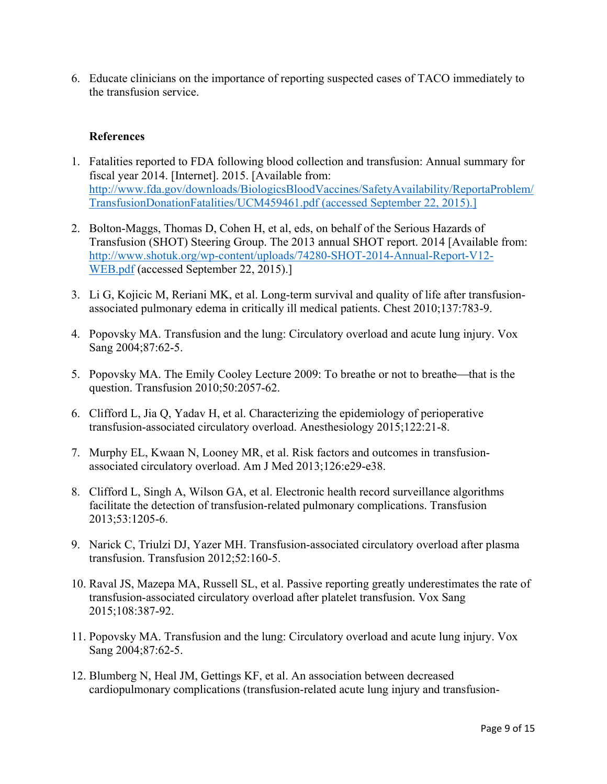6. Educate clinicians on the importance of reporting suspected cases of TACO immediately to the transfusion service.

### **References**

- 1. Fatalities reported to FDA following blood collection and transfusion: Annual summary for fiscal year 2014. [Internet]. 2015. [Available from: http://www.fda.gov/downloads/BiologicsBloodVaccines/SafetyAvailability/ReportaProblem/ TransfusionDonationFatalities/UCM459461.pdf (accessed September 22, 2015).]
- 2. Bolton-Maggs, Thomas D, Cohen H, et al, eds, on behalf of the Serious Hazards of Transfusion (SHOT) Steering Group. The 2013 annual SHOT report. 2014 [Available from: http://www.shotuk.org/wp-content/uploads/74280-SHOT-2014-Annual-Report-V12- WEB.pdf (accessed September 22, 2015).]
- 3. Li G, Kojicic M, Reriani MK, et al. Long-term survival and quality of life after transfusionassociated pulmonary edema in critically ill medical patients. Chest 2010;137:783-9.
- 4. Popovsky MA. Transfusion and the lung: Circulatory overload and acute lung injury. Vox Sang 2004;87:62-5.
- 5. Popovsky MA. The Emily Cooley Lecture 2009: To breathe or not to breathe—that is the question. Transfusion 2010;50:2057-62.
- 6. Clifford L, Jia Q, Yadav H, et al. Characterizing the epidemiology of perioperative transfusion-associated circulatory overload. Anesthesiology 2015;122:21-8.
- 7. Murphy EL, Kwaan N, Looney MR, et al. Risk factors and outcomes in transfusionassociated circulatory overload. Am J Med 2013;126:e29-e38.
- 8. Clifford L, Singh A, Wilson GA, et al. Electronic health record surveillance algorithms facilitate the detection of transfusion-related pulmonary complications. Transfusion 2013;53:1205-6.
- 9. Narick C, Triulzi DJ, Yazer MH. Transfusion-associated circulatory overload after plasma transfusion. Transfusion 2012;52:160-5.
- 10. Raval JS, Mazepa MA, Russell SL, et al. Passive reporting greatly underestimates the rate of transfusion-associated circulatory overload after platelet transfusion. Vox Sang 2015;108:387-92.
- 11. Popovsky MA. Transfusion and the lung: Circulatory overload and acute lung injury. Vox Sang 2004;87:62-5.
- 12. Blumberg N, Heal JM, Gettings KF, et al. An association between decreased cardiopulmonary complications (transfusion-related acute lung injury and transfusion-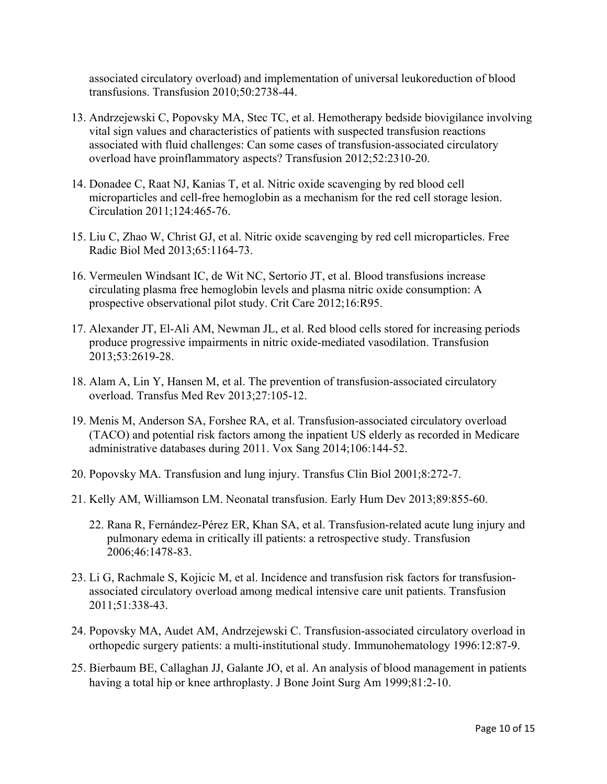associated circulatory overload) and implementation of universal leukoreduction of blood transfusions. Transfusion 2010;50:2738-44.

- 13. Andrzejewski C, Popovsky MA, Stec TC, et al. Hemotherapy bedside biovigilance involving vital sign values and characteristics of patients with suspected transfusion reactions associated with fluid challenges: Can some cases of transfusion-associated circulatory overload have proinflammatory aspects? Transfusion 2012;52:2310-20.
- 14. Donadee C, Raat NJ, Kanias T, et al. Nitric oxide scavenging by red blood cell microparticles and cell-free hemoglobin as a mechanism for the red cell storage lesion. Circulation 2011;124:465-76.
- 15. Liu C, Zhao W, Christ GJ, et al. Nitric oxide scavenging by red cell microparticles. Free Radic Biol Med 2013;65:1164-73.
- 16. Vermeulen Windsant IC, de Wit NC, Sertorio JT, et al. Blood transfusions increase circulating plasma free hemoglobin levels and plasma nitric oxide consumption: A prospective observational pilot study. Crit Care 2012;16:R95.
- 17. Alexander JT, El-Ali AM, Newman JL, et al. Red blood cells stored for increasing periods produce progressive impairments in nitric oxide-mediated vasodilation. Transfusion 2013;53:2619-28.
- 18. Alam A, Lin Y, Hansen M, et al. The prevention of transfusion-associated circulatory overload. Transfus Med Rev 2013;27:105-12.
- 19. Menis M, Anderson SA, Forshee RA, et al. Transfusion-associated circulatory overload (TACO) and potential risk factors among the inpatient US elderly as recorded in Medicare administrative databases during 2011. Vox Sang 2014;106:144-52.
- 20. Popovsky MA. Transfusion and lung injury. Transfus Clin Biol 2001;8:272-7.
- 21. Kelly AM, Williamson LM. Neonatal transfusion. Early Hum Dev 2013;89:855-60.
	- 22. Rana R, Fernández-Pérez ER, Khan SA, et al. Transfusion-related acute lung injury and pulmonary edema in critically ill patients: a retrospective study. Transfusion 2006;46:1478-83.
- 23. Li G, Rachmale S, Kojicic M, et al. Incidence and transfusion risk factors for transfusionassociated circulatory overload among medical intensive care unit patients. Transfusion 2011;51:338-43.
- 24. Popovsky MA, Audet AM, Andrzejewski C. Transfusion-associated circulatory overload in orthopedic surgery patients: a multi-institutional study. Immunohematology 1996:12:87-9.
- 25. Bierbaum BE, Callaghan JJ, Galante JO, et al. An analysis of blood management in patients having a total hip or knee arthroplasty. J Bone Joint Surg Am 1999;81:2-10.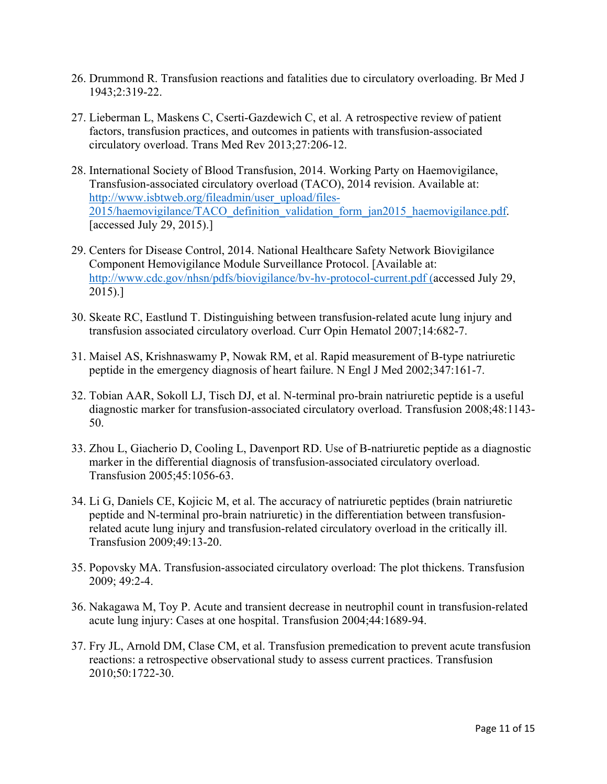- 26. Drummond R. Transfusion reactions and fatalities due to circulatory overloading. Br Med J 1943;2:319-22.
- 27. Lieberman L, Maskens C, Cserti-Gazdewich C, et al. A retrospective review of patient factors, transfusion practices, and outcomes in patients with transfusion-associated circulatory overload. Trans Med Rev 2013;27:206-12.
- 28. International Society of Blood Transfusion, 2014. Working Party on Haemovigilance, Transfusion-associated circulatory overload (TACO), 2014 revision. Available at: http://www.isbtweb.org/fileadmin/user\_upload/files-2015/haemovigilance/TACO\_definition\_validation\_form\_jan2015\_haemovigilance.pdf. [accessed July 29, 2015).]
- 29. Centers for Disease Control, 2014. National Healthcare Safety Network Biovigilance Component Hemovigilance Module Surveillance Protocol. [Available at: http://www.cdc.gov/nhsn/pdfs/biovigilance/bv-hv-protocol-current.pdf (accessed July 29, 2015).]
- 30. Skeate RC, Eastlund T. Distinguishing between transfusion-related acute lung injury and transfusion associated circulatory overload. Curr Opin Hematol 2007;14:682-7.
- 31. Maisel AS, Krishnaswamy P, Nowak RM, et al. Rapid measurement of B-type natriuretic peptide in the emergency diagnosis of heart failure. N Engl J Med 2002;347:161-7.
- 32. Tobian AAR, Sokoll LJ, Tisch DJ, et al. N-terminal pro-brain natriuretic peptide is a useful diagnostic marker for transfusion-associated circulatory overload. Transfusion 2008;48:1143- 50.
- 33. Zhou L, Giacherio D, Cooling L, Davenport RD. Use of B-natriuretic peptide as a diagnostic marker in the differential diagnosis of transfusion-associated circulatory overload. Transfusion 2005;45:1056-63.
- 34. Li G, Daniels CE, Kojicic M, et al. The accuracy of natriuretic peptides (brain natriuretic peptide and N-terminal pro-brain natriuretic) in the differentiation between transfusionrelated acute lung injury and transfusion-related circulatory overload in the critically ill. Transfusion 2009;49:13-20.
- 35. Popovsky MA. Transfusion-associated circulatory overload: The plot thickens. Transfusion 2009; 49:2-4.
- 36. Nakagawa M, Toy P. Acute and transient decrease in neutrophil count in transfusion-related acute lung injury: Cases at one hospital. Transfusion 2004;44:1689-94.
- 37. Fry JL, Arnold DM, Clase CM, et al. Transfusion premedication to prevent acute transfusion reactions: a retrospective observational study to assess current practices. Transfusion 2010;50:1722-30.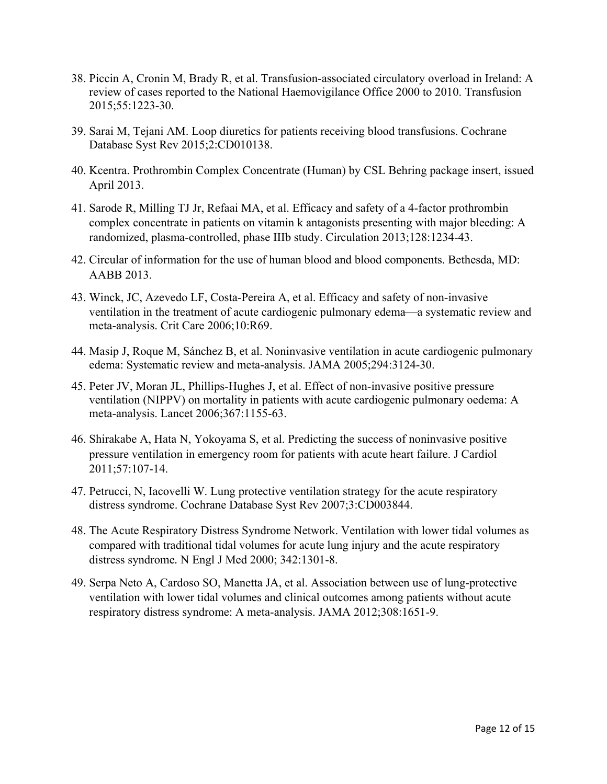- 38. Piccin A, Cronin M, Brady R, et al. Transfusion-associated circulatory overload in Ireland: A review of cases reported to the National Haemovigilance Office 2000 to 2010. Transfusion 2015;55:1223-30.
- 39. Sarai M, Tejani AM. Loop diuretics for patients receiving blood transfusions. Cochrane Database Syst Rev 2015;2:CD010138.
- 40. Kcentra. Prothrombin Complex Concentrate (Human) by CSL Behring package insert, issued April 2013.
- 41. Sarode R, Milling TJ Jr, Refaai MA, et al. Efficacy and safety of a 4-factor prothrombin complex concentrate in patients on vitamin k antagonists presenting with major bleeding: A randomized, plasma-controlled, phase IIIb study. Circulation 2013;128:1234-43.
- 42. Circular of information for the use of human blood and blood components. Bethesda, MD: AABB 2013.
- 43. Winck, JC, Azevedo LF, Costa-Pereira A, et al. Efficacy and safety of non-invasive ventilation in the treatment of acute cardiogenic pulmonary edema—a systematic review and meta-analysis. Crit Care 2006;10:R69.
- 44. Masip J, Roque M, Sánchez B, et al. Noninvasive ventilation in acute cardiogenic pulmonary edema: Systematic review and meta-analysis. JAMA 2005;294:3124-30.
- 45. Peter JV, Moran JL, Phillips-Hughes J, et al. Effect of non-invasive positive pressure ventilation (NIPPV) on mortality in patients with acute cardiogenic pulmonary oedema: A meta-analysis. Lancet 2006;367:1155-63.
- 46. Shirakabe A, Hata N, Yokoyama S, et al. Predicting the success of noninvasive positive pressure ventilation in emergency room for patients with acute heart failure. J Cardiol 2011;57:107-14.
- 47. Petrucci, N, Iacovelli W. Lung protective ventilation strategy for the acute respiratory distress syndrome. Cochrane Database Syst Rev 2007;3:CD003844.
- 48. The Acute Respiratory Distress Syndrome Network. Ventilation with lower tidal volumes as compared with traditional tidal volumes for acute lung injury and the acute respiratory distress syndrome*.* N Engl J Med 2000; 342:1301-8.
- 49. Serpa Neto A, Cardoso SO, Manetta JA, et al. Association between use of lung-protective ventilation with lower tidal volumes and clinical outcomes among patients without acute respiratory distress syndrome: A meta-analysis. JAMA 2012;308:1651-9.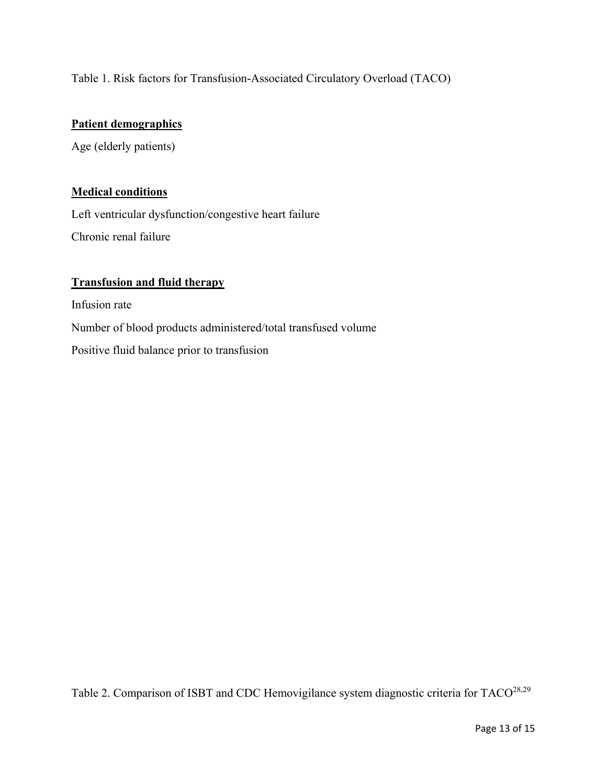Table 1. Risk factors for Transfusion-Associated Circulatory Overload (TACO)

# **Patient demographics**

Age (elderly patients)

## **Medical conditions**

Left ventricular dysfunction/congestive heart failure Chronic renal failure

## **Transfusion and fluid therapy**

Infusion rate Number of blood products administered/total transfused volume Positive fluid balance prior to transfusion

Table 2. Comparison of ISBT and CDC Hemovigilance system diagnostic criteria for TACO<sup>28,29</sup>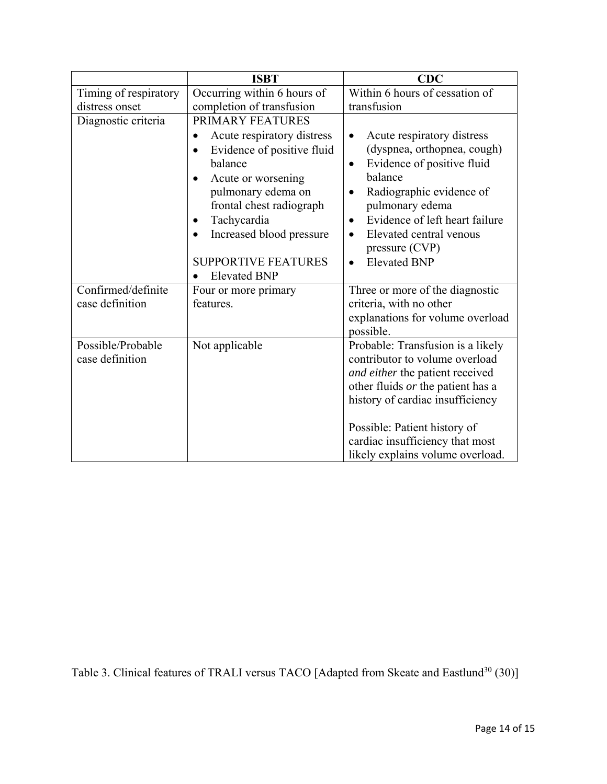|                       | <b>ISBT</b>                                                                                                                                                                                                                                                           | CDC                                                                                                                                                                                                                                                                                                 |
|-----------------------|-----------------------------------------------------------------------------------------------------------------------------------------------------------------------------------------------------------------------------------------------------------------------|-----------------------------------------------------------------------------------------------------------------------------------------------------------------------------------------------------------------------------------------------------------------------------------------------------|
| Timing of respiratory | Occurring within 6 hours of                                                                                                                                                                                                                                           | Within 6 hours of cessation of                                                                                                                                                                                                                                                                      |
| distress onset        | completion of transfusion                                                                                                                                                                                                                                             | transfusion                                                                                                                                                                                                                                                                                         |
| Diagnostic criteria   | PRIMARY FEATURES                                                                                                                                                                                                                                                      |                                                                                                                                                                                                                                                                                                     |
|                       | Acute respiratory distress<br>$\bullet$<br>Evidence of positive fluid<br>balance<br>Acute or worsening<br>pulmonary edema on<br>frontal chest radiograph<br>Tachycardia<br>$\bullet$<br>Increased blood pressure<br><b>SUPPORTIVE FEATURES</b><br><b>Elevated BNP</b> | Acute respiratory distress<br>$\bullet$<br>(dyspnea, orthopnea, cough)<br>Evidence of positive fluid<br>٠<br>balance<br>Radiographic evidence of<br>pulmonary edema<br>Evidence of left heart failure<br>$\bullet$<br>Elevated central venous<br>$\bullet$<br>pressure (CVP)<br><b>Elevated BNP</b> |
| Confirmed/definite    | Four or more primary                                                                                                                                                                                                                                                  | Three or more of the diagnostic                                                                                                                                                                                                                                                                     |
| case definition       | features.                                                                                                                                                                                                                                                             | criteria, with no other                                                                                                                                                                                                                                                                             |
|                       |                                                                                                                                                                                                                                                                       | explanations for volume overload<br>possible.                                                                                                                                                                                                                                                       |
| Possible/Probable     | Not applicable                                                                                                                                                                                                                                                        | Probable: Transfusion is a likely                                                                                                                                                                                                                                                                   |
| case definition       |                                                                                                                                                                                                                                                                       | contributor to volume overload                                                                                                                                                                                                                                                                      |
|                       |                                                                                                                                                                                                                                                                       | and either the patient received                                                                                                                                                                                                                                                                     |
|                       |                                                                                                                                                                                                                                                                       | other fluids or the patient has a                                                                                                                                                                                                                                                                   |
|                       |                                                                                                                                                                                                                                                                       | history of cardiac insufficiency                                                                                                                                                                                                                                                                    |
|                       |                                                                                                                                                                                                                                                                       | Possible: Patient history of                                                                                                                                                                                                                                                                        |
|                       |                                                                                                                                                                                                                                                                       | cardiac insufficiency that most                                                                                                                                                                                                                                                                     |
|                       |                                                                                                                                                                                                                                                                       | likely explains volume overload.                                                                                                                                                                                                                                                                    |

Table 3. Clinical features of TRALI versus TACO [Adapted from Skeate and Eastlund<sup>30</sup> (30)]